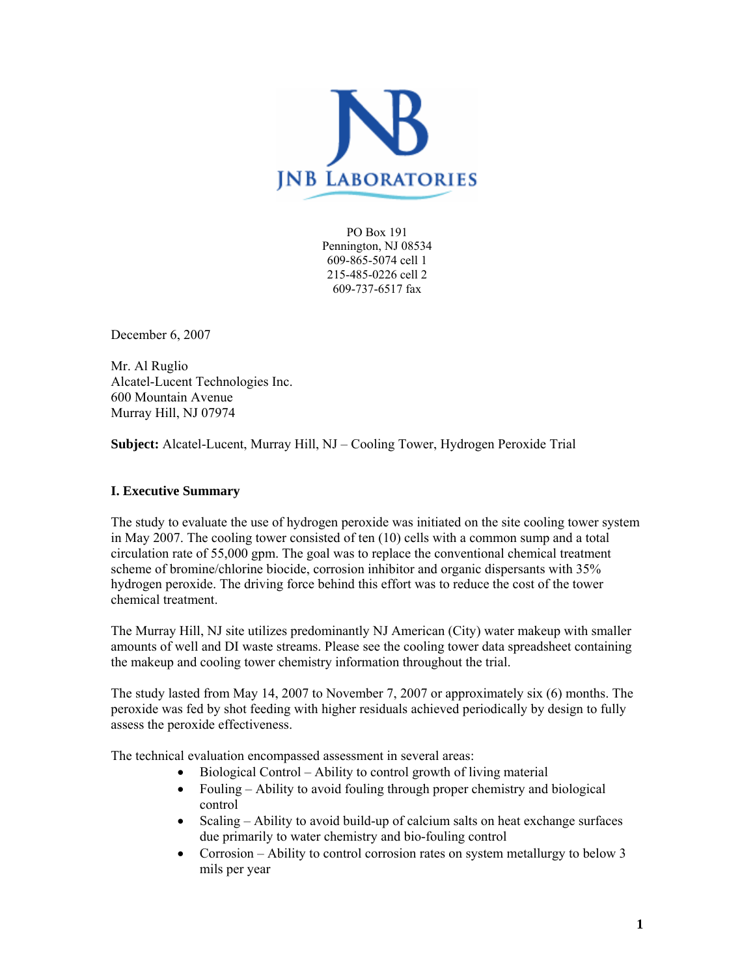

PO Box 191 Pennington, NJ 08534 609-865-5074 cell 1 215-485-0226 cell 2 609-737-6517 fax

December 6, 2007

Mr. Al Ruglio Alcatel-Lucent Technologies Inc. 600 Mountain Avenue Murray Hill, NJ 07974

**Subject:** Alcatel-Lucent, Murray Hill, NJ – Cooling Tower, Hydrogen Peroxide Trial

## **I. Executive Summary**

The study to evaluate the use of hydrogen peroxide was initiated on the site cooling tower system in May 2007. The cooling tower consisted of ten (10) cells with a common sump and a total circulation rate of 55,000 gpm. The goal was to replace the conventional chemical treatment scheme of bromine/chlorine biocide, corrosion inhibitor and organic dispersants with 35% hydrogen peroxide. The driving force behind this effort was to reduce the cost of the tower chemical treatment.

The Murray Hill, NJ site utilizes predominantly NJ American (City) water makeup with smaller amounts of well and DI waste streams. Please see the cooling tower data spreadsheet containing the makeup and cooling tower chemistry information throughout the trial.

The study lasted from May 14, 2007 to November 7, 2007 or approximately six (6) months. The peroxide was fed by shot feeding with higher residuals achieved periodically by design to fully assess the peroxide effectiveness.

The technical evaluation encompassed assessment in several areas:

- Biological Control Ability to control growth of living material
- Fouling Ability to avoid fouling through proper chemistry and biological control
- Scaling Ability to avoid build-up of calcium salts on heat exchange surfaces due primarily to water chemistry and bio-fouling control
- Corrosion Ability to control corrosion rates on system metallurgy to below 3 mils per year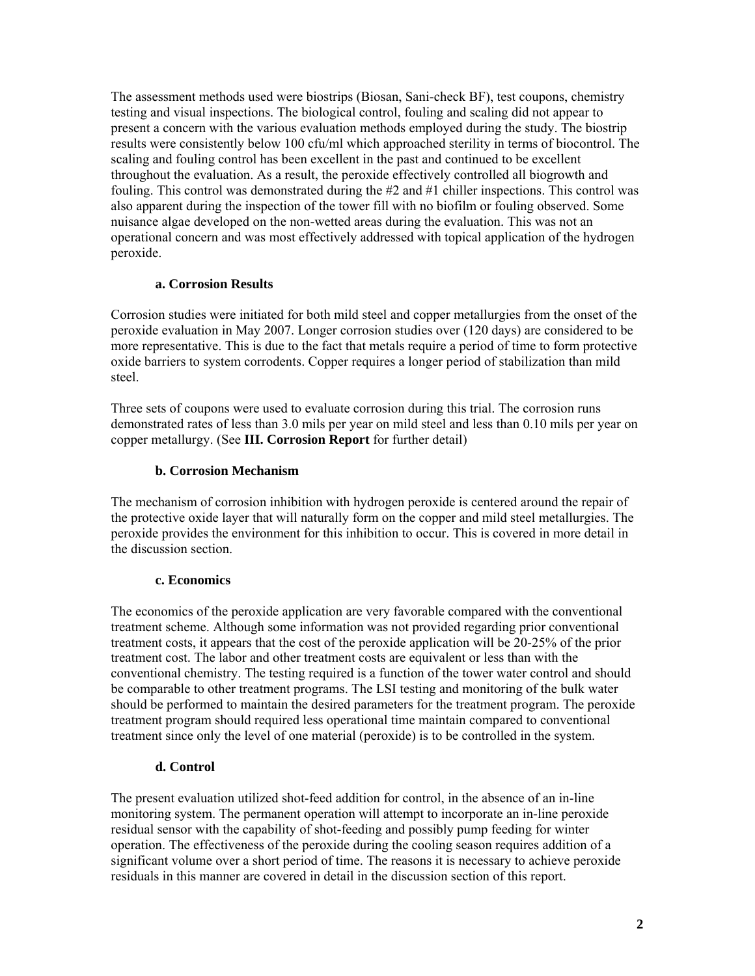The assessment methods used were biostrips (Biosan, Sani-check BF), test coupons, chemistry testing and visual inspections. The biological control, fouling and scaling did not appear to present a concern with the various evaluation methods employed during the study. The biostrip results were consistently below 100 cfu/ml which approached sterility in terms of biocontrol. The scaling and fouling control has been excellent in the past and continued to be excellent throughout the evaluation. As a result, the peroxide effectively controlled all biogrowth and fouling. This control was demonstrated during the #2 and #1 chiller inspections. This control was also apparent during the inspection of the tower fill with no biofilm or fouling observed. Some nuisance algae developed on the non-wetted areas during the evaluation. This was not an operational concern and was most effectively addressed with topical application of the hydrogen peroxide.

## **a. Corrosion Results**

Corrosion studies were initiated for both mild steel and copper metallurgies from the onset of the peroxide evaluation in May 2007. Longer corrosion studies over (120 days) are considered to be more representative. This is due to the fact that metals require a period of time to form protective oxide barriers to system corrodents. Copper requires a longer period of stabilization than mild steel.

Three sets of coupons were used to evaluate corrosion during this trial. The corrosion runs demonstrated rates of less than 3.0 mils per year on mild steel and less than 0.10 mils per year on copper metallurgy. (See **III. Corrosion Report** for further detail)

# **b. Corrosion Mechanism**

The mechanism of corrosion inhibition with hydrogen peroxide is centered around the repair of the protective oxide layer that will naturally form on the copper and mild steel metallurgies. The peroxide provides the environment for this inhibition to occur. This is covered in more detail in the discussion section.

# **c. Economics**

The economics of the peroxide application are very favorable compared with the conventional treatment scheme. Although some information was not provided regarding prior conventional treatment costs, it appears that the cost of the peroxide application will be 20-25% of the prior treatment cost. The labor and other treatment costs are equivalent or less than with the conventional chemistry. The testing required is a function of the tower water control and should be comparable to other treatment programs. The LSI testing and monitoring of the bulk water should be performed to maintain the desired parameters for the treatment program. The peroxide treatment program should required less operational time maintain compared to conventional treatment since only the level of one material (peroxide) is to be controlled in the system.

# **d. Control**

The present evaluation utilized shot-feed addition for control, in the absence of an in-line monitoring system. The permanent operation will attempt to incorporate an in-line peroxide residual sensor with the capability of shot-feeding and possibly pump feeding for winter operation. The effectiveness of the peroxide during the cooling season requires addition of a significant volume over a short period of time. The reasons it is necessary to achieve peroxide residuals in this manner are covered in detail in the discussion section of this report.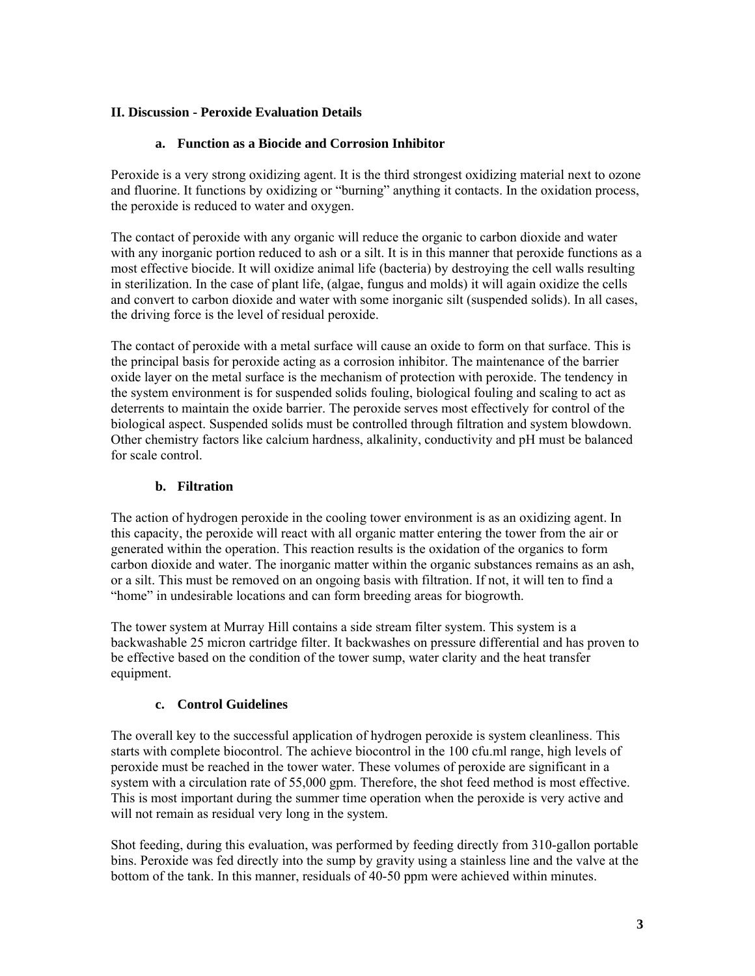# **II. Discussion - Peroxide Evaluation Details**

# **a. Function as a Biocide and Corrosion Inhibitor**

Peroxide is a very strong oxidizing agent. It is the third strongest oxidizing material next to ozone and fluorine. It functions by oxidizing or "burning" anything it contacts. In the oxidation process, the peroxide is reduced to water and oxygen.

The contact of peroxide with any organic will reduce the organic to carbon dioxide and water with any inorganic portion reduced to ash or a silt. It is in this manner that peroxide functions as a most effective biocide. It will oxidize animal life (bacteria) by destroying the cell walls resulting in sterilization. In the case of plant life, (algae, fungus and molds) it will again oxidize the cells and convert to carbon dioxide and water with some inorganic silt (suspended solids). In all cases, the driving force is the level of residual peroxide.

The contact of peroxide with a metal surface will cause an oxide to form on that surface. This is the principal basis for peroxide acting as a corrosion inhibitor. The maintenance of the barrier oxide layer on the metal surface is the mechanism of protection with peroxide. The tendency in the system environment is for suspended solids fouling, biological fouling and scaling to act as deterrents to maintain the oxide barrier. The peroxide serves most effectively for control of the biological aspect. Suspended solids must be controlled through filtration and system blowdown. Other chemistry factors like calcium hardness, alkalinity, conductivity and pH must be balanced for scale control.

# **b. Filtration**

The action of hydrogen peroxide in the cooling tower environment is as an oxidizing agent. In this capacity, the peroxide will react with all organic matter entering the tower from the air or generated within the operation. This reaction results is the oxidation of the organics to form carbon dioxide and water. The inorganic matter within the organic substances remains as an ash, or a silt. This must be removed on an ongoing basis with filtration. If not, it will ten to find a "home" in undesirable locations and can form breeding areas for biogrowth.

The tower system at Murray Hill contains a side stream filter system. This system is a backwashable 25 micron cartridge filter. It backwashes on pressure differential and has proven to be effective based on the condition of the tower sump, water clarity and the heat transfer equipment.

# **c. Control Guidelines**

The overall key to the successful application of hydrogen peroxide is system cleanliness. This starts with complete biocontrol. The achieve biocontrol in the 100 cfu.ml range, high levels of peroxide must be reached in the tower water. These volumes of peroxide are significant in a system with a circulation rate of 55,000 gpm. Therefore, the shot feed method is most effective. This is most important during the summer time operation when the peroxide is very active and will not remain as residual very long in the system.

Shot feeding, during this evaluation, was performed by feeding directly from 310-gallon portable bins. Peroxide was fed directly into the sump by gravity using a stainless line and the valve at the bottom of the tank. In this manner, residuals of 40-50 ppm were achieved within minutes.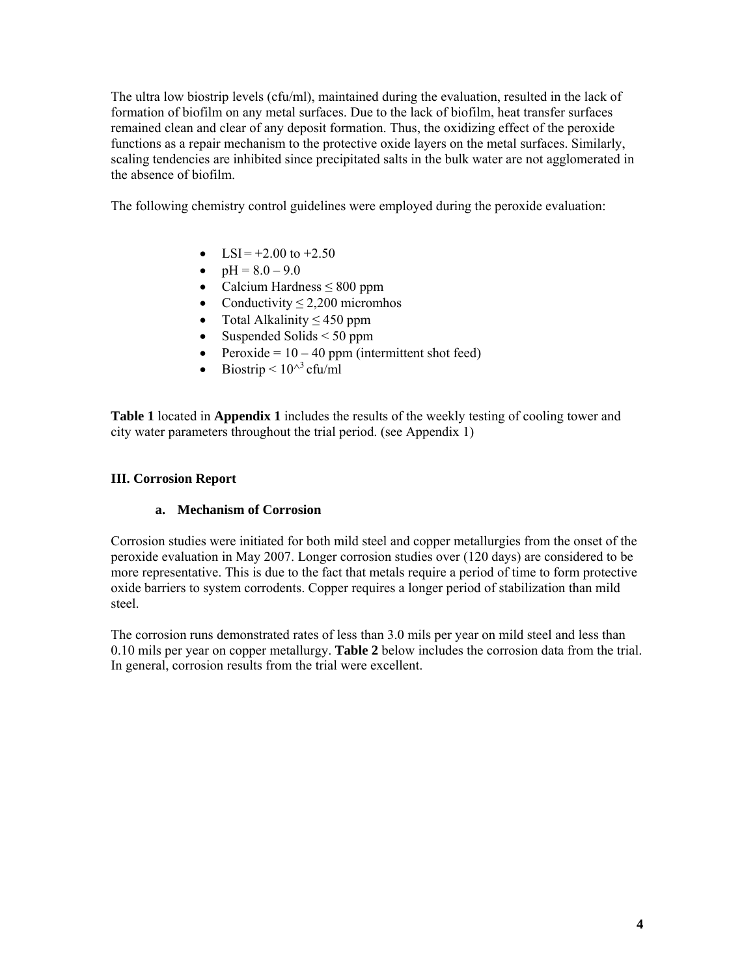The ultra low biostrip levels (cfu/ml), maintained during the evaluation, resulted in the lack of formation of biofilm on any metal surfaces. Due to the lack of biofilm, heat transfer surfaces remained clean and clear of any deposit formation. Thus, the oxidizing effect of the peroxide functions as a repair mechanism to the protective oxide layers on the metal surfaces. Similarly, scaling tendencies are inhibited since precipitated salts in the bulk water are not agglomerated in the absence of biofilm.

The following chemistry control guidelines were employed during the peroxide evaluation:

- LSI =  $+2.00$  to  $+2.50$
- $pH = 8.0 9.0$
- Calcium Hardness  $\leq 800$  ppm
- Conductivity  $\leq 2,200$  micromhos
- Total Alkalinity  $\leq 450$  ppm
- Suspended Solids  $\leq 50$  ppm
- Peroxide =  $10 40$  ppm (intermittent shot feed)
- Biostrip  $\leq 10^{\wedge^3}$  cfu/ml

**Table 1** located in **Appendix 1** includes the results of the weekly testing of cooling tower and city water parameters throughout the trial period. (see Appendix 1)

#### **III. Corrosion Report**

#### **a. Mechanism of Corrosion**

Corrosion studies were initiated for both mild steel and copper metallurgies from the onset of the peroxide evaluation in May 2007. Longer corrosion studies over (120 days) are considered to be more representative. This is due to the fact that metals require a period of time to form protective oxide barriers to system corrodents. Copper requires a longer period of stabilization than mild steel.

The corrosion runs demonstrated rates of less than 3.0 mils per year on mild steel and less than 0.10 mils per year on copper metallurgy. **Table 2** below includes the corrosion data from the trial. In general, corrosion results from the trial were excellent.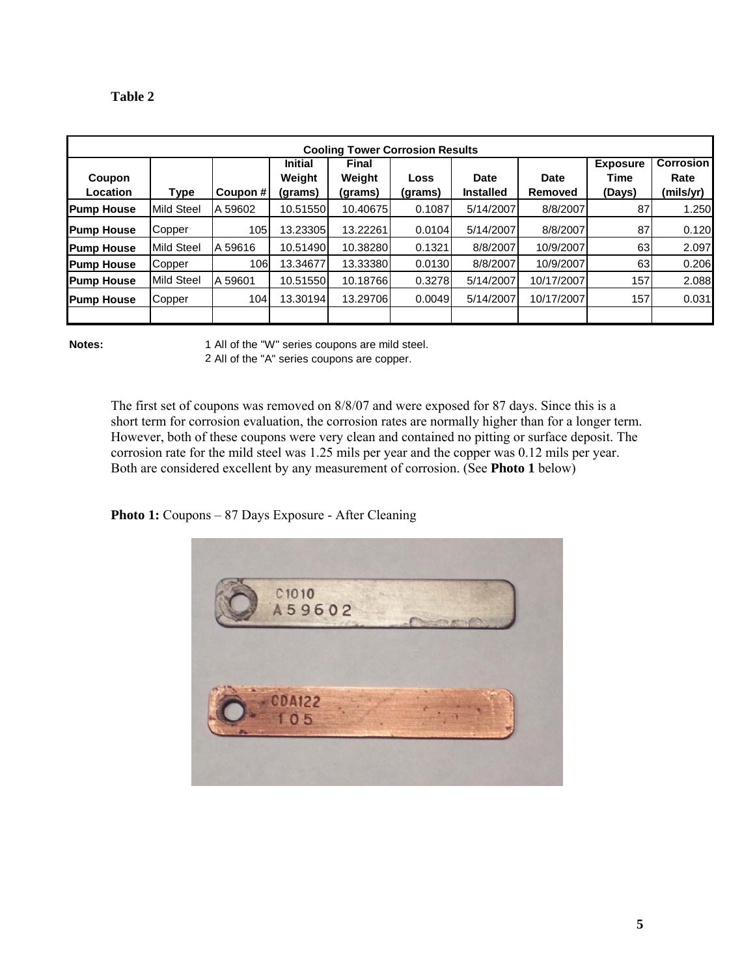| וחו<br>и |
|----------|
|----------|

| <b>Cooling Tower Corrosion Results</b> |                   |            |                                     |                            |                 |                                 |                        |                                   |                                       |  |
|----------------------------------------|-------------------|------------|-------------------------------------|----------------------------|-----------------|---------------------------------|------------------------|-----------------------------------|---------------------------------------|--|
| Coupon<br><b>Location</b>              | Type              | Coupon #   | <b>Initial</b><br>Weight<br>(grams) | Final<br>Weight<br>(grams) | Loss<br>(grams) | <b>Date</b><br><b>Installed</b> | <b>Date</b><br>Removed | <b>Exposure</b><br>Time<br>(Days) | <b>Corrosion</b><br>Rate<br>(mils/yr) |  |
| <b>Pump House</b>                      | <b>Mild Steel</b> | A 59602    | 10.51550                            | 10.40675                   | 0.1087          | 5/14/2007                       | 8/8/2007               | 87                                | 1.250                                 |  |
| <b>Pump House</b>                      | Copper            | 105        | 13.23305                            | 13.22261                   | 0.0104          | 5/14/2007                       | 8/8/2007               | 87                                | 0.120                                 |  |
| <b>Pump House</b>                      | <b>Mild Steel</b> | A 59616    | 10.51490                            | 10.38280                   | 0.1321          | 8/8/2007                        | 10/9/2007              | 63                                | 2.097                                 |  |
| <b>Pump House</b>                      | Copper            | <b>106</b> | 13.34677                            | 13.33380                   | 0.0130          | 8/8/2007                        | 10/9/2007              | 63                                | 0.206                                 |  |
| <b>Pump House</b>                      | Mild Steel        | A 59601    | 10.51550                            | 10.18766                   | 0.3278          | 5/14/2007                       | 10/17/2007             | 157                               | 2.088                                 |  |
| <b>Pump House</b>                      | Copper            | 104        | 13.30194                            | 13.29706                   | 0.0049          | 5/14/2007                       | 10/17/2007             | 157                               | 0.031                                 |  |
|                                        |                   |            |                                     |                            |                 |                                 |                        |                                   |                                       |  |

**Notes:** 

2 All of the "A" series coupons are copper. All of the "W" series coupons are mild steel.

The first set of coupons was removed on 8/8/07 and were exposed for 87 days. Since this is a short term for corrosion evaluation, the corrosion rates are normally higher than for a longer term. However, both of these coupons were very clean and contained no pitting or surface deposit. The corrosion rate for the mild steel was 1.25 mils per year and the copper was 0.12 mils per year. Both are considered excellent by any measurement of corrosion. (See **Photo 1** below)

**Photo 1:** Coupons – 87 Days Exposure - After Cleaning

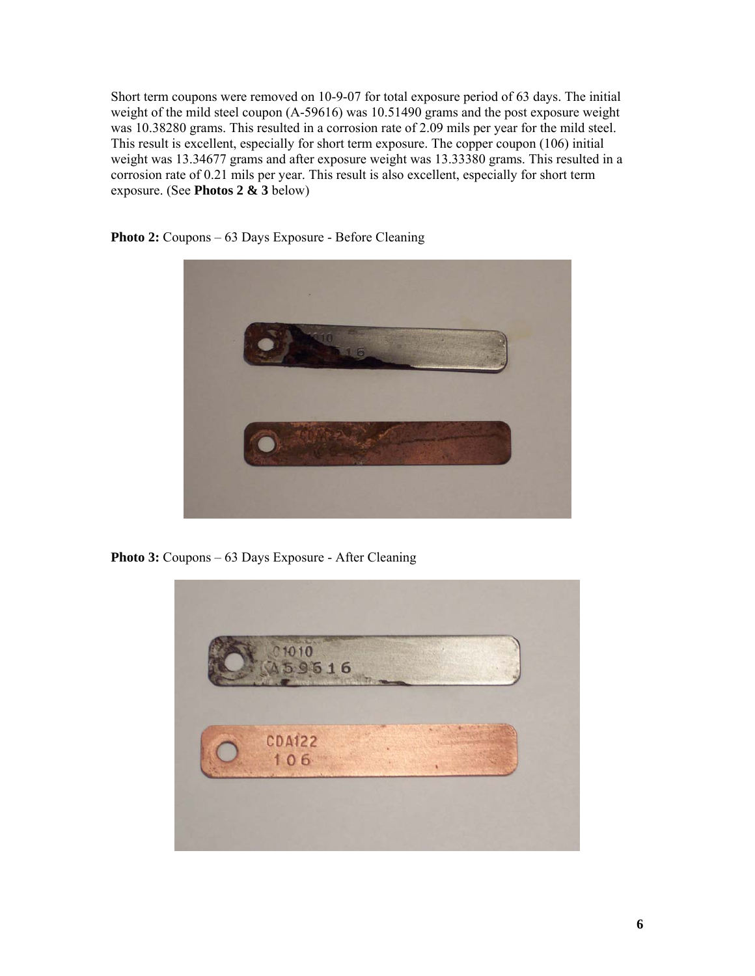Short term coupons were removed on 10-9-07 for total exposure period of 63 days. The initial weight of the mild steel coupon (A-59616) was 10.51490 grams and the post exposure weight was 10.38280 grams. This resulted in a corrosion rate of 2.09 mils per year for the mild steel. This result is excellent, especially for short term exposure. The copper coupon (106) initial weight was 13.34677 grams and after exposure weight was 13.33380 grams. This resulted in a corrosion rate of 0.21 mils per year. This result is also excellent, especially for short term exposure. (See **Photos 2 & 3** below)



**Photo 2:** Coupons – 63 Days Exposure - Before Cleaning

**Photo 3:** Coupons – 63 Days Exposure - After Cleaning

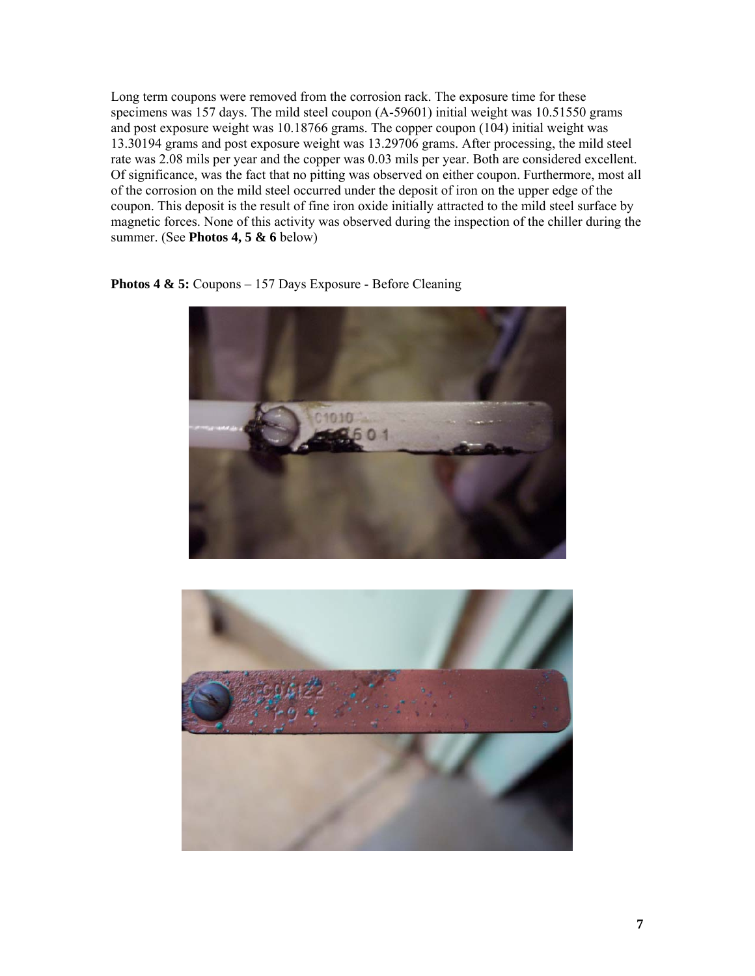Long term coupons were removed from the corrosion rack. The exposure time for these specimens was 157 days. The mild steel coupon (A-59601) initial weight was 10.51550 grams and post exposure weight was 10.18766 grams. The copper coupon (104) initial weight was 13.30194 grams and post exposure weight was 13.29706 grams. After processing, the mild steel rate was 2.08 mils per year and the copper was 0.03 mils per year. Both are considered excellent. Of significance, was the fact that no pitting was observed on either coupon. Furthermore, most all of the corrosion on the mild steel occurred under the deposit of iron on the upper edge of the coupon. This deposit is the result of fine iron oxide initially attracted to the mild steel surface by magnetic forces. None of this activity was observed during the inspection of the chiller during the summer. (See **Photos 4, 5 & 6** below)

**Photos 4 & 5:** Coupons – 157 Days Exposure - Before Cleaning



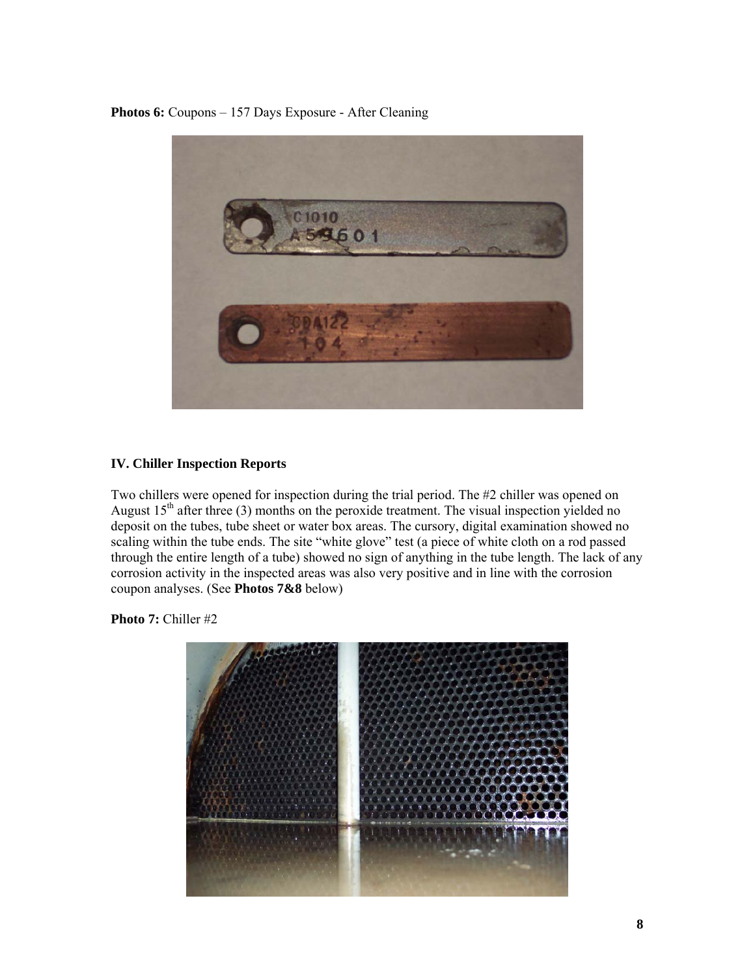**Photos 6:** Coupons – 157 Days Exposure - After Cleaning



## **IV. Chiller Inspection Reports**

Two chillers were opened for inspection during the trial period. The #2 chiller was opened on August  $15<sup>th</sup>$  after three (3) months on the peroxide treatment. The visual inspection yielded no deposit on the tubes, tube sheet or water box areas. The cursory, digital examination showed no scaling within the tube ends. The site "white glove" test (a piece of white cloth on a rod passed through the entire length of a tube) showed no sign of anything in the tube length. The lack of any corrosion activity in the inspected areas was also very positive and in line with the corrosion coupon analyses. (See **Photos 7&8** below)

**Photo 7:** Chiller #2

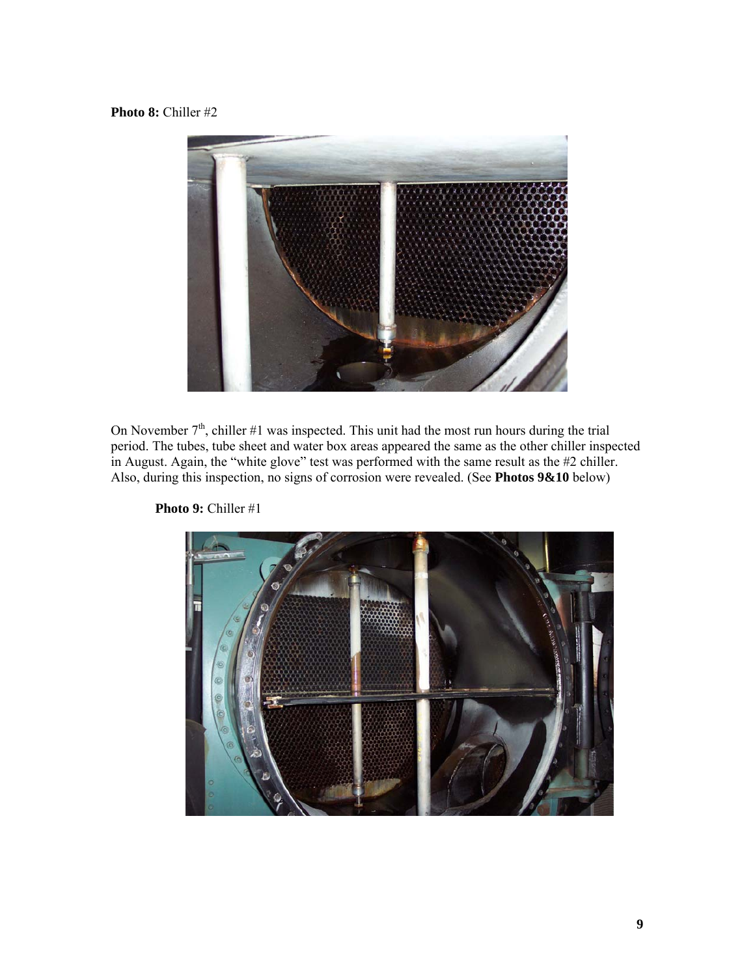## **Photo 8:** Chiller #2



On November  $7<sup>th</sup>$ , chiller #1 was inspected. This unit had the most run hours during the trial period. The tubes, tube sheet and water box areas appeared the same as the other chiller inspected in August. Again, the "white glove" test was performed with the same result as the #2 chiller. Also, during this inspection, no signs of corrosion were revealed. (See **Photos 9&10** below)



**Photo 9:** Chiller #1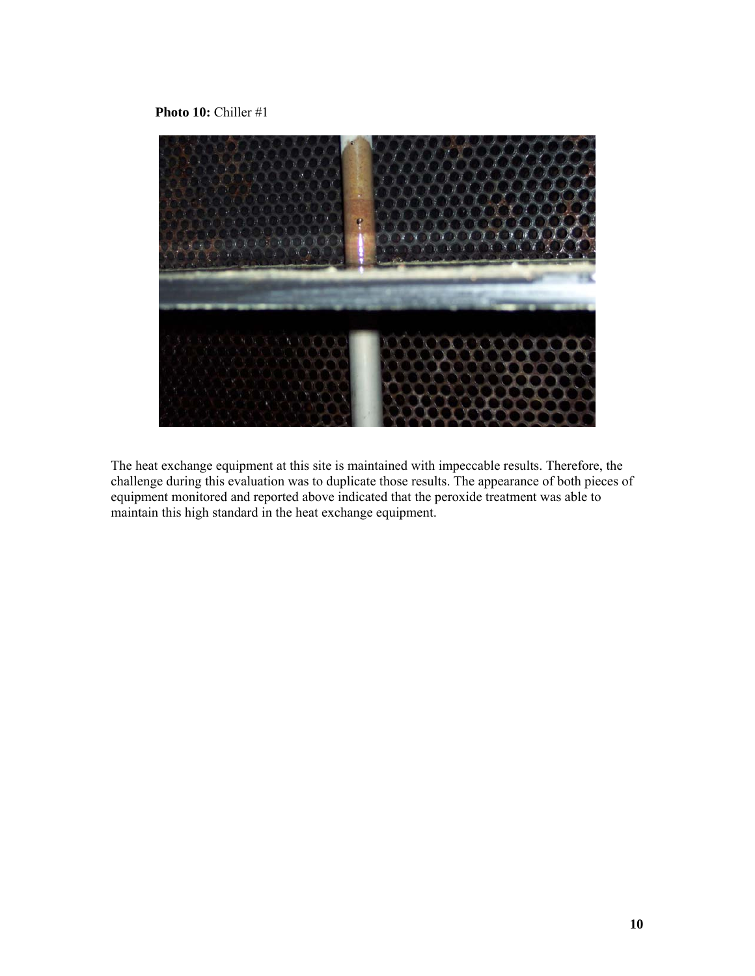**Photo 10:** Chiller #1



The heat exchange equipment at this site is maintained with impeccable results. Therefore, the challenge during this evaluation was to duplicate those results. The appearance of both pieces of equipment monitored and reported above indicated that the peroxide treatment was able to maintain this high standard in the heat exchange equipment.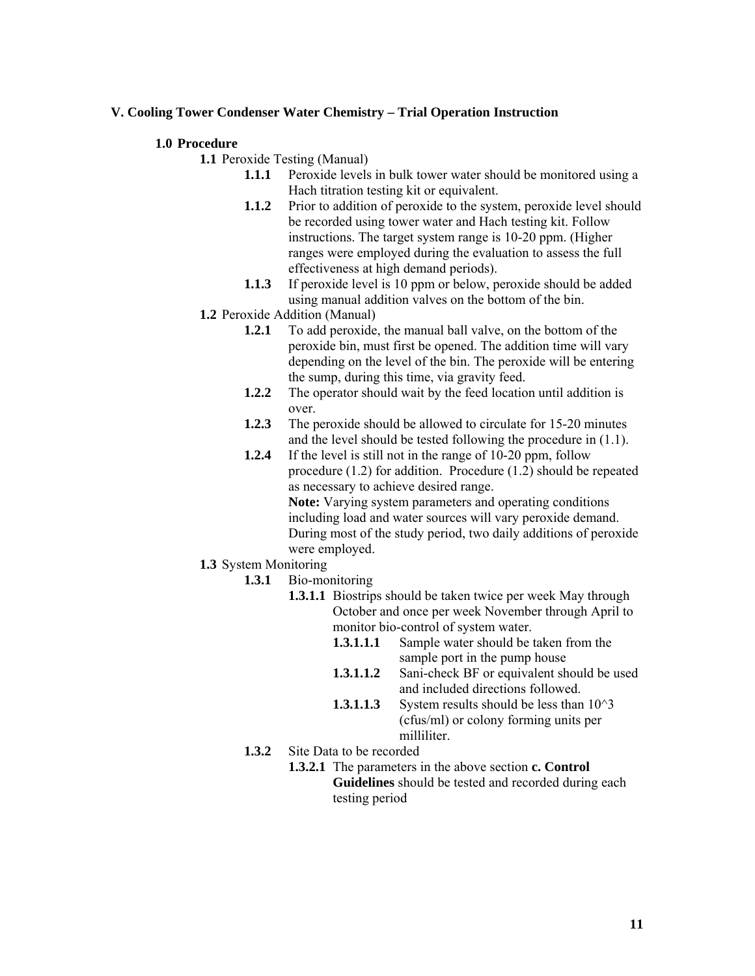## **V. Cooling Tower Condenser Water Chemistry – Trial Operation Instruction**

#### **1.0 Procedure**

**1.1** Peroxide Testing (Manual)

- **1.1.1** Peroxide levels in bulk tower water should be monitored using a Hach titration testing kit or equivalent.
- **1.1.2** Prior to addition of peroxide to the system, peroxide level should be recorded using tower water and Hach testing kit. Follow instructions. The target system range is 10-20 ppm. (Higher ranges were employed during the evaluation to assess the full effectiveness at high demand periods).
- **1.1.3** If peroxide level is 10 ppm or below, peroxide should be added using manual addition valves on the bottom of the bin.
- **1.2** Peroxide Addition (Manual)
	- **1.2.1** To add peroxide, the manual ball valve, on the bottom of the peroxide bin, must first be opened. The addition time will vary depending on the level of the bin. The peroxide will be entering the sump, during this time, via gravity feed.
	- **1.2.2** The operator should wait by the feed location until addition is over.
	- **1.2.3** The peroxide should be allowed to circulate for 15-20 minutes and the level should be tested following the procedure in (1.1).
	- **1.2.4** If the level is still not in the range of 10-20 ppm, follow procedure (1.2) for addition. Procedure (1.2) should be repeated as necessary to achieve desired range. **Note:** Varying system parameters and operating conditions including load and water sources will vary peroxide demand. During most of the study period, two daily additions of peroxide were employed.
- **1.3** System Monitoring
	- **1.3.1** Bio-monitoring
		- **1.3.1.1** Biostrips should be taken twice per week May through October and once per week November through April to monitor bio-control of system water.
			- **1.3.1.1.1** Sample water should be taken from the sample port in the pump house
			- **1.3.1.1.2** Sani-check BF or equivalent should be used and included directions followed.
			- **1.3.1.1.3** System results should be less than  $10^{\circ}3$ (cfus/ml) or colony forming units per milliliter.
	- **1.3.2** Site Data to be recorded
		- **1.3.2.1** The parameters in the above section **c. Control Guidelines** should be tested and recorded during each testing period